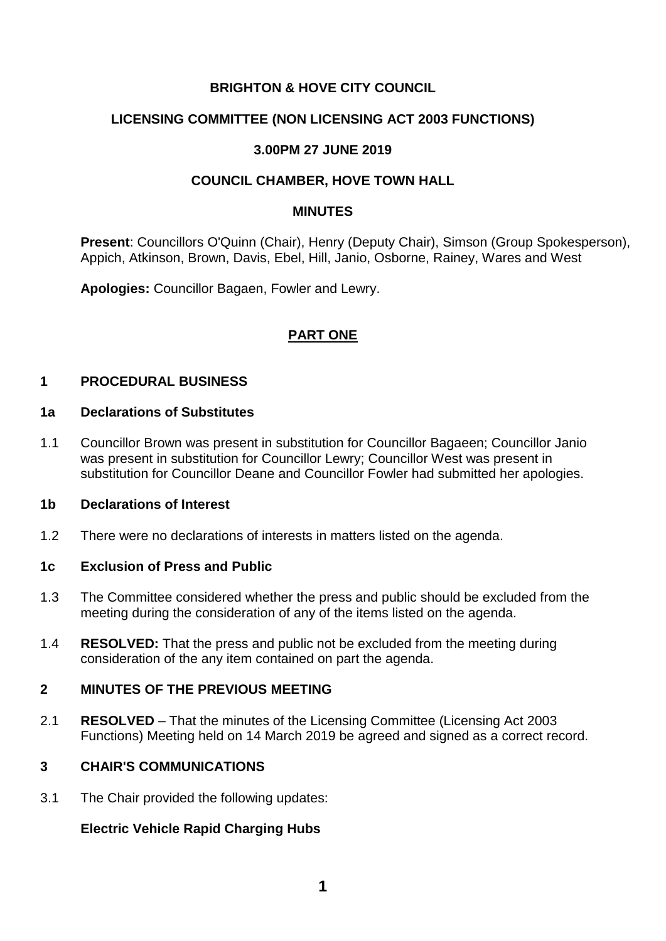# **BRIGHTON & HOVE CITY COUNCIL**

# **LICENSING COMMITTEE (NON LICENSING ACT 2003 FUNCTIONS)**

# **3.00PM 27 JUNE 2019**

# **COUNCIL CHAMBER, HOVE TOWN HALL**

#### **MINUTES**

**Present**: Councillors O'Quinn (Chair), Henry (Deputy Chair), Simson (Group Spokesperson), Appich, Atkinson, Brown, Davis, Ebel, Hill, Janio, Osborne, Rainey, Wares and West

**Apologies:** Councillor Bagaen, Fowler and Lewry.

# **PART ONE**

#### **1 PROCEDURAL BUSINESS**

#### **1a Declarations of Substitutes**

1.1 Councillor Brown was present in substitution for Councillor Bagaeen; Councillor Janio was present in substitution for Councillor Lewry; Councillor West was present in substitution for Councillor Deane and Councillor Fowler had submitted her apologies.

#### **1b Declarations of Interest**

1.2 There were no declarations of interests in matters listed on the agenda.

#### **1c Exclusion of Press and Public**

- 1.3 The Committee considered whether the press and public should be excluded from the meeting during the consideration of any of the items listed on the agenda.
- 1.4 **RESOLVED:** That the press and public not be excluded from the meeting during consideration of the any item contained on part the agenda.

# **2 MINUTES OF THE PREVIOUS MEETING**

2.1 **RESOLVED** – That the minutes of the Licensing Committee (Licensing Act 2003 Functions) Meeting held on 14 March 2019 be agreed and signed as a correct record.

# **3 CHAIR'S COMMUNICATIONS**

3.1 The Chair provided the following updates:

#### **Electric Vehicle Rapid Charging Hubs**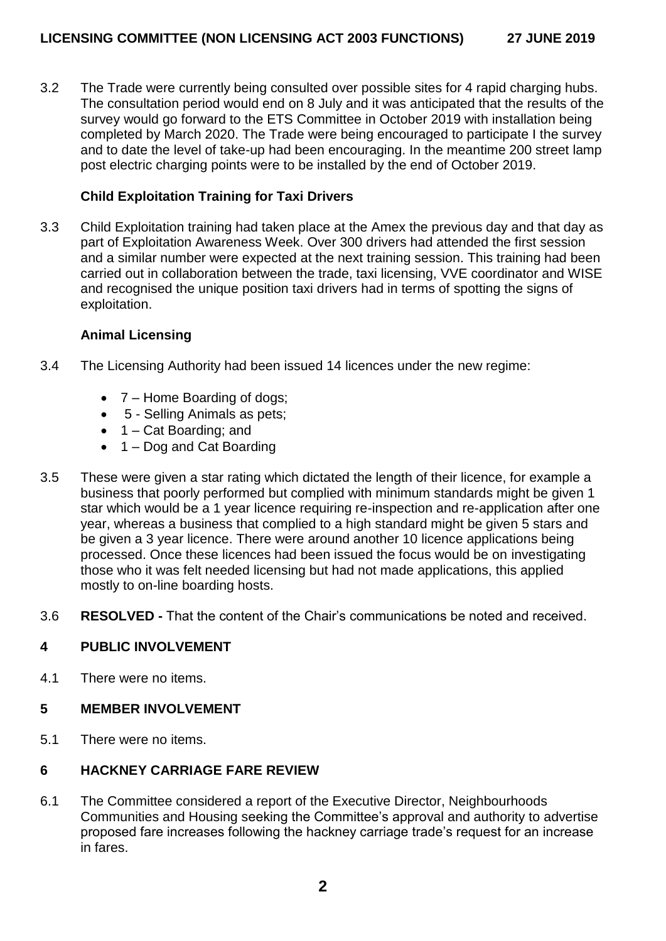3.2 The Trade were currently being consulted over possible sites for 4 rapid charging hubs. The consultation period would end on 8 July and it was anticipated that the results of the survey would go forward to the ETS Committee in October 2019 with installation being completed by March 2020. The Trade were being encouraged to participate I the survey and to date the level of take-up had been encouraging. In the meantime 200 street lamp post electric charging points were to be installed by the end of October 2019.

# **Child Exploitation Training for Taxi Drivers**

3.3 Child Exploitation training had taken place at the Amex the previous day and that day as part of Exploitation Awareness Week. Over 300 drivers had attended the first session and a similar number were expected at the next training session. This training had been carried out in collaboration between the trade, taxi licensing, VVE coordinator and WISE and recognised the unique position taxi drivers had in terms of spotting the signs of exploitation.

#### **Animal Licensing**

- 3.4 The Licensing Authority had been issued 14 licences under the new regime:
	- 7 Home Boarding of dogs;
	- 5 Selling Animals as pets;
	- $\bullet$  1 Cat Boarding; and
	- 1 Dog and Cat Boarding
- 3.5 These were given a star rating which dictated the length of their licence, for example a business that poorly performed but complied with minimum standards might be given 1 star which would be a 1 year licence requiring re-inspection and re-application after one year, whereas a business that complied to a high standard might be given 5 stars and be given a 3 year licence. There were around another 10 licence applications being processed. Once these licences had been issued the focus would be on investigating those who it was felt needed licensing but had not made applications, this applied mostly to on-line boarding hosts.
- 3.6 **RESOLVED -** That the content of the Chair's communications be noted and received.

#### **4 PUBLIC INVOLVEMENT**

4.1 There were no items.

#### **5 MEMBER INVOLVEMENT**

5.1 There were no items.

# **6 HACKNEY CARRIAGE FARE REVIEW**

6.1 The Committee considered a report of the Executive Director, Neighbourhoods Communities and Housing seeking the Committee's approval and authority to advertise proposed fare increases following the hackney carriage trade's request for an increase in fares.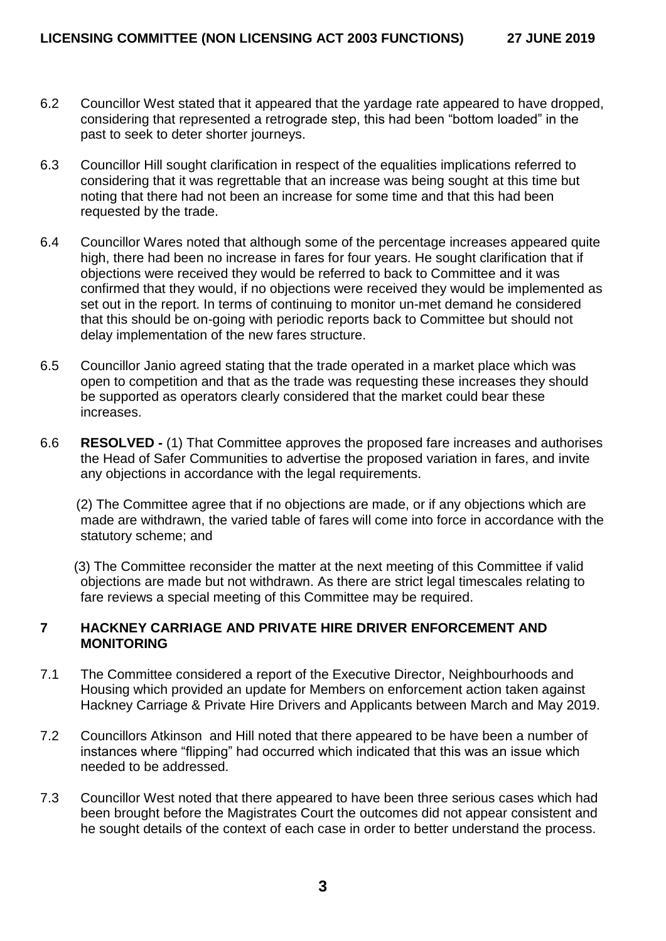- 6.2 Councillor West stated that it appeared that the yardage rate appeared to have dropped, considering that represented a retrograde step, this had been "bottom loaded" in the past to seek to deter shorter journeys.
- 6.3 Councillor Hill sought clarification in respect of the equalities implications referred to considering that it was regrettable that an increase was being sought at this time but noting that there had not been an increase for some time and that this had been requested by the trade.
- 6.4 Councillor Wares noted that although some of the percentage increases appeared quite high, there had been no increase in fares for four years. He sought clarification that if objections were received they would be referred to back to Committee and it was confirmed that they would, if no objections were received they would be implemented as set out in the report. In terms of continuing to monitor un-met demand he considered that this should be on-going with periodic reports back to Committee but should not delay implementation of the new fares structure.
- 6.5 Councillor Janio agreed stating that the trade operated in a market place which was open to competition and that as the trade was requesting these increases they should be supported as operators clearly considered that the market could bear these increases.
- 6.6 **RESOLVED -** (1) That Committee approves the proposed fare increases and authorises the Head of Safer Communities to advertise the proposed variation in fares, and invite any objections in accordance with the legal requirements.

 (2) The Committee agree that if no objections are made, or if any objections which are made are withdrawn, the varied table of fares will come into force in accordance with the statutory scheme; and

 (3) The Committee reconsider the matter at the next meeting of this Committee if valid objections are made but not withdrawn. As there are strict legal timescales relating to fare reviews a special meeting of this Committee may be required.

# **7 HACKNEY CARRIAGE AND PRIVATE HIRE DRIVER ENFORCEMENT AND MONITORING**

- 7.1 The Committee considered a report of the Executive Director, Neighbourhoods and Housing which provided an update for Members on enforcement action taken against Hackney Carriage & Private Hire Drivers and Applicants between March and May 2019.
- 7.2 Councillors Atkinson and Hill noted that there appeared to be have been a number of instances where "flipping" had occurred which indicated that this was an issue which needed to be addressed.
- 7.3 Councillor West noted that there appeared to have been three serious cases which had been brought before the Magistrates Court the outcomes did not appear consistent and he sought details of the context of each case in order to better understand the process.